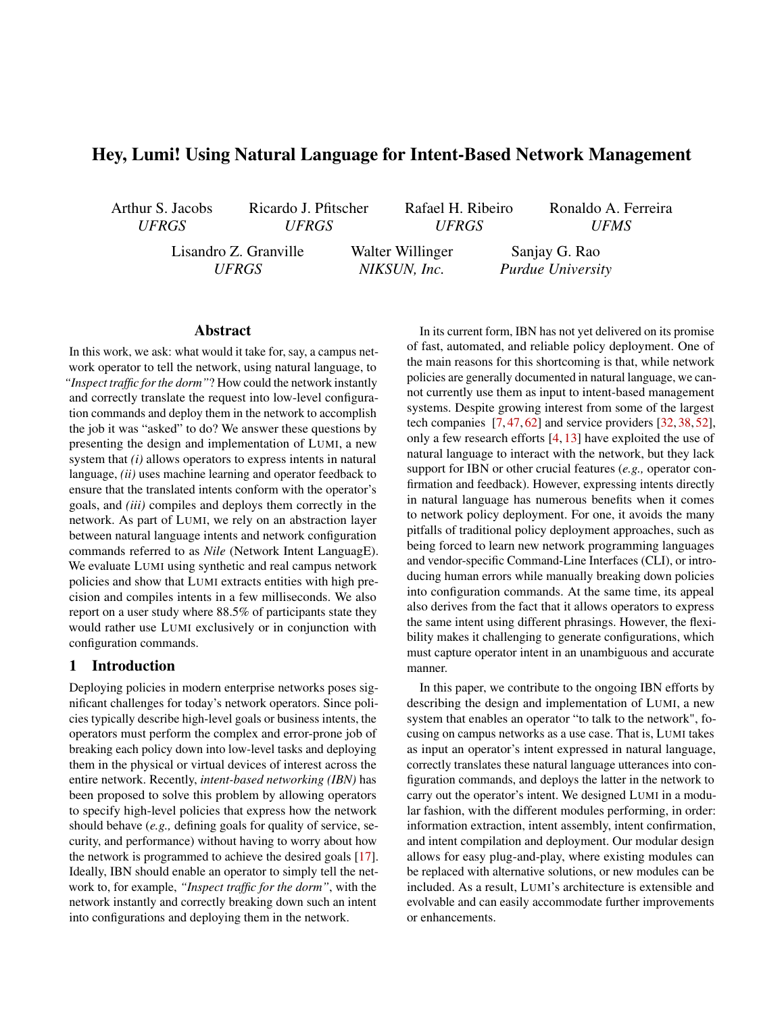# Hey, Lumi! Using Natural Language for Intent-Based Network Management

Arthur S. Jacobs *UFRGS*

Ricardo J. Pfitscher *UFRGS*

Rafael H. Ribeiro *UFRGS*

Ronaldo A. Ferreira *UFMS*

Lisandro Z. Granville *UFRGS*

Walter Willinger *NIKSUN, Inc.*

Sanjay G. Rao *Purdue University*

#### Abstract

In this work, we ask: what would it take for, say, a campus network operator to tell the network, using natural language, to *"Inspect traffic for the dorm"*? How could the network instantly and correctly translate the request into low-level configuration commands and deploy them in the network to accomplish the job it was "asked" to do? We answer these questions by presenting the design and implementation of LUMI, a new system that *(i)* allows operators to express intents in natural language, *(ii)* uses machine learning and operator feedback to ensure that the translated intents conform with the operator's goals, and *(iii)* compiles and deploys them correctly in the network. As part of LUMI, we rely on an abstraction layer between natural language intents and network configuration commands referred to as *Nile* (Network Intent LanguagE). We evaluate LUMI using synthetic and real campus network policies and show that LUMI extracts entities with high precision and compiles intents in a few milliseconds. We also report on a user study where 88.5% of participants state they would rather use LUMI exclusively or in conjunction with configuration commands.

### 1 Introduction

Deploying policies in modern enterprise networks poses significant challenges for today's network operators. Since policies typically describe high-level goals or business intents, the operators must perform the complex and error-prone job of breaking each policy down into low-level tasks and deploying them in the physical or virtual devices of interest across the entire network. Recently, *intent-based networking (IBN)* has been proposed to solve this problem by allowing operators to specify high-level policies that express how the network should behave (*e.g.,* defining goals for quality of service, security, and performance) without having to worry about how the network is programmed to achieve the desired goals [\[17\]](#page-12-0). Ideally, IBN should enable an operator to simply tell the network to, for example, *"Inspect traffic for the dorm"*, with the network instantly and correctly breaking down such an intent into configurations and deploying them in the network.

In its current form, IBN has not yet delivered on its promise of fast, automated, and reliable policy deployment. One of the main reasons for this shortcoming is that, while network policies are generally documented in natural language, we cannot currently use them as input to intent-based management systems. Despite growing interest from some of the largest tech companies [\[7,](#page-12-1) [47,](#page-14-0) [62\]](#page-14-1) and service providers [\[32,](#page-13-0) [38,](#page-13-1) [52\]](#page-14-2), only a few research efforts [\[4,](#page-12-2) [13\]](#page-12-3) have exploited the use of natural language to interact with the network, but they lack support for IBN or other crucial features (*e.g.,* operator confirmation and feedback). However, expressing intents directly in natural language has numerous benefits when it comes to network policy deployment. For one, it avoids the many pitfalls of traditional policy deployment approaches, such as being forced to learn new network programming languages and vendor-specific Command-Line Interfaces (CLI), or introducing human errors while manually breaking down policies into configuration commands. At the same time, its appeal also derives from the fact that it allows operators to express the same intent using different phrasings. However, the flexibility makes it challenging to generate configurations, which must capture operator intent in an unambiguous and accurate manner.

In this paper, we contribute to the ongoing IBN efforts by describing the design and implementation of LUMI, a new system that enables an operator "to talk to the network", focusing on campus networks as a use case. That is, LUMI takes as input an operator's intent expressed in natural language, correctly translates these natural language utterances into configuration commands, and deploys the latter in the network to carry out the operator's intent. We designed LUMI in a modular fashion, with the different modules performing, in order: information extraction, intent assembly, intent confirmation, and intent compilation and deployment. Our modular design allows for easy plug-and-play, where existing modules can be replaced with alternative solutions, or new modules can be included. As a result, LUMI's architecture is extensible and evolvable and can easily accommodate further improvements or enhancements.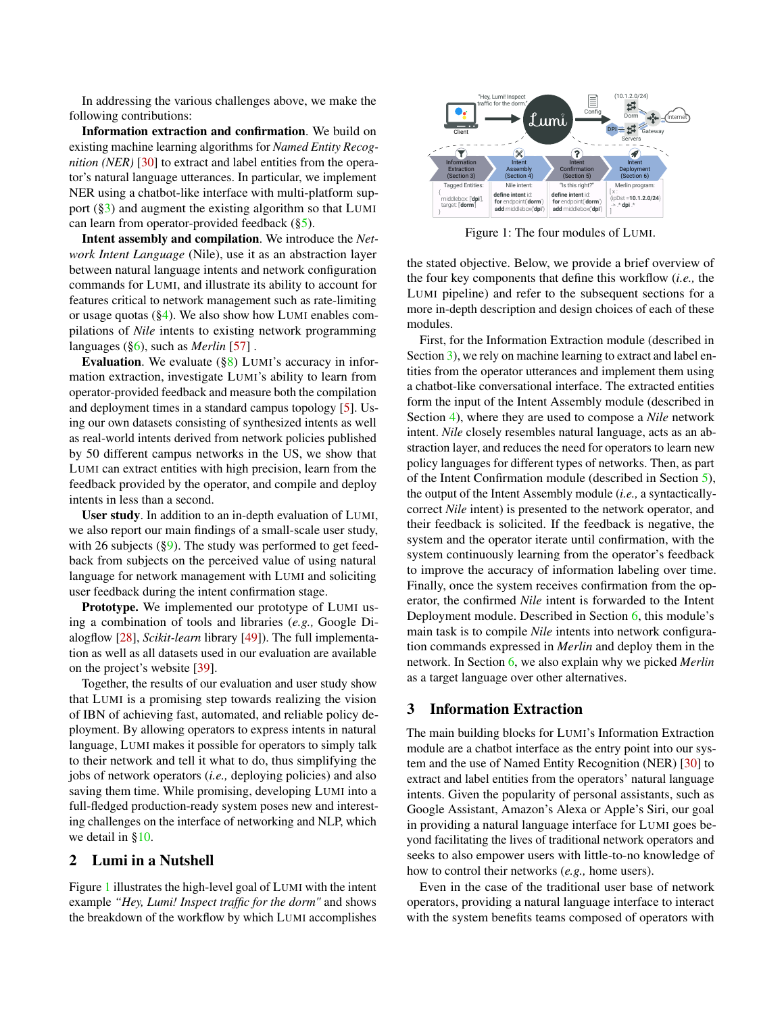In addressing the various challenges above, we make the following contributions:

Information extraction and confirmation. We build on existing machine learning algorithms for *Named Entity Recognition (NER)* [\[30\]](#page-13-2) to extract and label entities from the operator's natural language utterances. In particular, we implement NER using a chatbot-like interface with multi-platform support  $(\S_3)$  and augment the existing algorithm so that LUMI can learn from operator-provided feedback  $(\S_5)$ .

Intent assembly and compilation. We introduce the *Network Intent Language* (Nile), use it as an abstraction layer between natural language intents and network configuration commands for LUMI, and illustrate its ability to account for features critical to network management such as rate-limiting or usage quotas ([§4\)](#page-4-0). We also show how LUMI enables compilations of *Nile* intents to existing network programming languages ([§6\)](#page-6-0), such as *Merlin* [\[57\]](#page-14-3) .

Evaluation. We evaluate  $(\S 8)$  LUMI's accuracy in information extraction, investigate LUMI's ability to learn from operator-provided feedback and measure both the compilation and deployment times in a standard campus topology [\[5\]](#page-12-4). Using our own datasets consisting of synthesized intents as well as real-world intents derived from network policies published by 50 different campus networks in the US, we show that LUMI can extract entities with high precision, learn from the feedback provided by the operator, and compile and deploy intents in less than a second.

User study. In addition to an in-depth evaluation of LUMI, we also report our main findings of a small-scale user study, with 26 subjects  $(\S9)$ . The study was performed to get feedback from subjects on the perceived value of using natural language for network management with LUMI and soliciting user feedback during the intent confirmation stage.

Prototype. We implemented our prototype of LUMI using a combination of tools and libraries (*e.g.,* Google Dialogflow [\[28\]](#page-13-3), *Scikit-learn* library [\[49\]](#page-14-4)). The full implementation as well as all datasets used in our evaluation are available on the project's website [\[39\]](#page-13-4).

Together, the results of our evaluation and user study show that LUMI is a promising step towards realizing the vision of IBN of achieving fast, automated, and reliable policy deployment. By allowing operators to express intents in natural language, LUMI makes it possible for operators to simply talk to their network and tell it what to do, thus simplifying the jobs of network operators (*i.e.,* deploying policies) and also saving them time. While promising, developing LUMI into a full-fledged production-ready system poses new and interesting challenges on the interface of networking and NLP, which we detail in [§10.](#page-10-0)

#### 2 Lumi in a Nutshell

Figure [1](#page-1-1) illustrates the high-level goal of LUMI with the intent example *"Hey, Lumi! Inspect traffic for the dorm"* and shows the breakdown of the workflow by which LUMI accomplishes

<span id="page-1-1"></span>

Figure 1: The four modules of LUMI.

the stated objective. Below, we provide a brief overview of the four key components that define this workflow (*i.e.,* the LUMI pipeline) and refer to the subsequent sections for a more in-depth description and design choices of each of these modules.

First, for the Information Extraction module (described in Section [3\)](#page-1-0), we rely on machine learning to extract and label entities from the operator utterances and implement them using a chatbot-like conversational interface. The extracted entities form the input of the Intent Assembly module (described in Section [4\)](#page-4-0), where they are used to compose a *Nile* network intent. *Nile* closely resembles natural language, acts as an abstraction layer, and reduces the need for operators to learn new policy languages for different types of networks. Then, as part of the Intent Confirmation module (described in Section [5\)](#page-5-0), the output of the Intent Assembly module (*i.e.,* a syntacticallycorrect *Nile* intent) is presented to the network operator, and their feedback is solicited. If the feedback is negative, the system and the operator iterate until confirmation, with the system continuously learning from the operator's feedback to improve the accuracy of information labeling over time. Finally, once the system receives confirmation from the operator, the confirmed *Nile* intent is forwarded to the Intent Deployment module. Described in Section [6,](#page-6-0) this module's main task is to compile *Nile* intents into network configuration commands expressed in *Merlin* and deploy them in the network. In Section [6,](#page-6-0) we also explain why we picked *Merlin* as a target language over other alternatives.

#### <span id="page-1-0"></span>3 Information Extraction

The main building blocks for LUMI's Information Extraction module are a chatbot interface as the entry point into our system and the use of Named Entity Recognition (NER) [\[30\]](#page-13-2) to extract and label entities from the operators' natural language intents. Given the popularity of personal assistants, such as Google Assistant, Amazon's Alexa or Apple's Siri, our goal in providing a natural language interface for LUMI goes beyond facilitating the lives of traditional network operators and seeks to also empower users with little-to-no knowledge of how to control their networks (*e.g.,* home users).

Even in the case of the traditional user base of network operators, providing a natural language interface to interact with the system benefits teams composed of operators with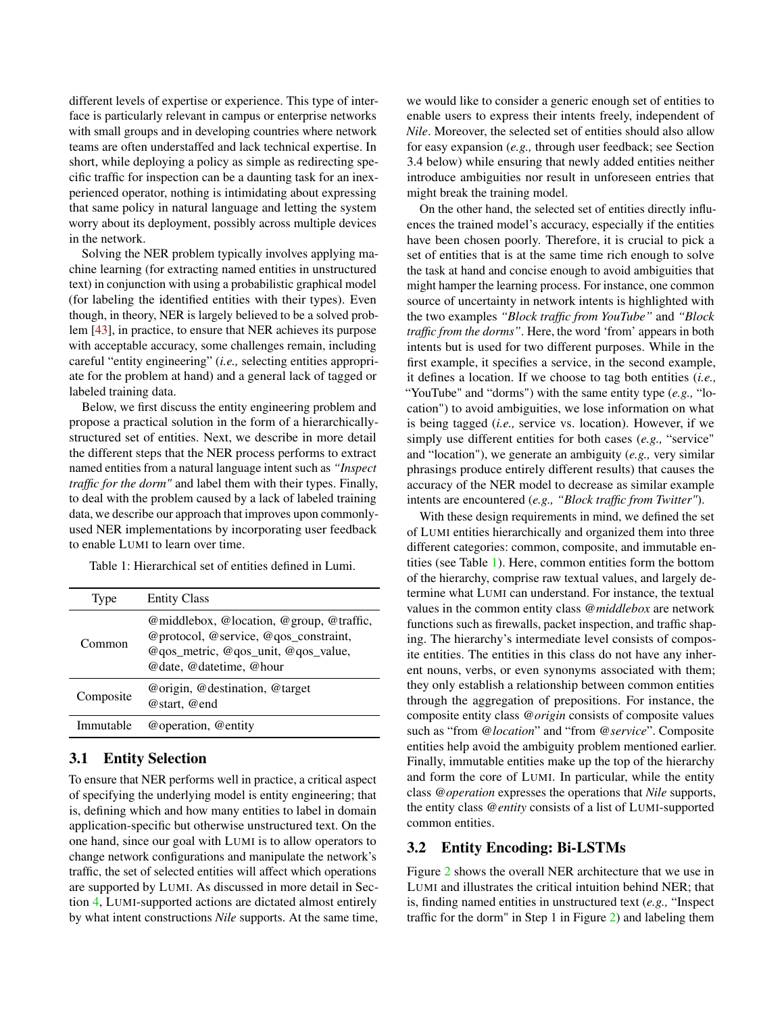different levels of expertise or experience. This type of interface is particularly relevant in campus or enterprise networks with small groups and in developing countries where network teams are often understaffed and lack technical expertise. In short, while deploying a policy as simple as redirecting specific traffic for inspection can be a daunting task for an inexperienced operator, nothing is intimidating about expressing that same policy in natural language and letting the system worry about its deployment, possibly across multiple devices in the network.

Solving the NER problem typically involves applying machine learning (for extracting named entities in unstructured text) in conjunction with using a probabilistic graphical model (for labeling the identified entities with their types). Even though, in theory, NER is largely believed to be a solved problem [\[43\]](#page-13-5), in practice, to ensure that NER achieves its purpose with acceptable accuracy, some challenges remain, including careful "entity engineering" (*i.e.,* selecting entities appropriate for the problem at hand) and a general lack of tagged or labeled training data.

Below, we first discuss the entity engineering problem and propose a practical solution in the form of a hierarchicallystructured set of entities. Next, we describe in more detail the different steps that the NER process performs to extract named entities from a natural language intent such as *"Inspect traffic for the dorm"* and label them with their types. Finally, to deal with the problem caused by a lack of labeled training data, we describe our approach that improves upon commonlyused NER implementations by incorporating user feedback to enable LUMI to learn over time.

<span id="page-2-0"></span>Table 1: Hierarchical set of entities defined in Lumi.

| Type      | <b>Entity Class</b>                                                                                                                                 |
|-----------|-----------------------------------------------------------------------------------------------------------------------------------------------------|
| Common    | @middlebox, @location, @group, @traffic,<br>@protocol, @service, @qos_constraint,<br>@qos_metric, @qos_unit, @qos_value,<br>@date, @datetime, @hour |
| Composite | @origin, @destination, @target<br>@start, @end                                                                                                      |
| Immutable | @operation, @entity                                                                                                                                 |

# <span id="page-2-2"></span>3.1 Entity Selection

To ensure that NER performs well in practice, a critical aspect of specifying the underlying model is entity engineering; that is, defining which and how many entities to label in domain application-specific but otherwise unstructured text. On the one hand, since our goal with LUMI is to allow operators to change network configurations and manipulate the network's traffic, the set of selected entities will affect which operations are supported by LUMI. As discussed in more detail in Section [4,](#page-4-0) LUMI-supported actions are dictated almost entirely by what intent constructions *Nile* supports. At the same time,

we would like to consider a generic enough set of entities to enable users to express their intents freely, independent of *Nile*. Moreover, the selected set of entities should also allow for easy expansion (*e.g.,* through user feedback; see Section 3.4 below) while ensuring that newly added entities neither introduce ambiguities nor result in unforeseen entries that might break the training model.

On the other hand, the selected set of entities directly influences the trained model's accuracy, especially if the entities have been chosen poorly. Therefore, it is crucial to pick a set of entities that is at the same time rich enough to solve the task at hand and concise enough to avoid ambiguities that might hamper the learning process. For instance, one common source of uncertainty in network intents is highlighted with the two examples *"Block traffic from YouTube"* and *"Block traffic from the dorms"*. Here, the word 'from' appears in both intents but is used for two different purposes. While in the first example, it specifies a service, in the second example, it defines a location. If we choose to tag both entities (*i.e.,* "YouTube" and "dorms") with the same entity type (*e.g.,* "location") to avoid ambiguities, we lose information on what is being tagged (*i.e.,* service vs. location). However, if we simply use different entities for both cases (*e.g.,* "service" and "location"), we generate an ambiguity (*e.g.,* very similar phrasings produce entirely different results) that causes the accuracy of the NER model to decrease as similar example intents are encountered (*e.g., "Block traffic from Twitter"*).

With these design requirements in mind, we defined the set of LUMI entities hierarchically and organized them into three different categories: common, composite, and immutable entities (see Table [1\)](#page-2-0). Here, common entities form the bottom of the hierarchy, comprise raw textual values, and largely determine what LUMI can understand. For instance, the textual values in the common entity class *@middlebox* are network functions such as firewalls, packet inspection, and traffic shaping. The hierarchy's intermediate level consists of composite entities. The entities in this class do not have any inherent nouns, verbs, or even synonyms associated with them; they only establish a relationship between common entities through the aggregation of prepositions. For instance, the composite entity class *@origin* consists of composite values such as "from *@location*" and "from *@service*". Composite entities help avoid the ambiguity problem mentioned earlier. Finally, immutable entities make up the top of the hierarchy and form the core of LUMI. In particular, while the entity class *@operation* expresses the operations that *Nile* supports, the entity class *@entity* consists of a list of LUMI-supported common entities.

#### <span id="page-2-1"></span>3.2 Entity Encoding: Bi-LSTMs

Figure [2](#page-3-0) shows the overall NER architecture that we use in LUMI and illustrates the critical intuition behind NER; that is, finding named entities in unstructured text (*e.g.,* "Inspect traffic for the dorm" in Step 1 in Figure [2\)](#page-3-0) and labeling them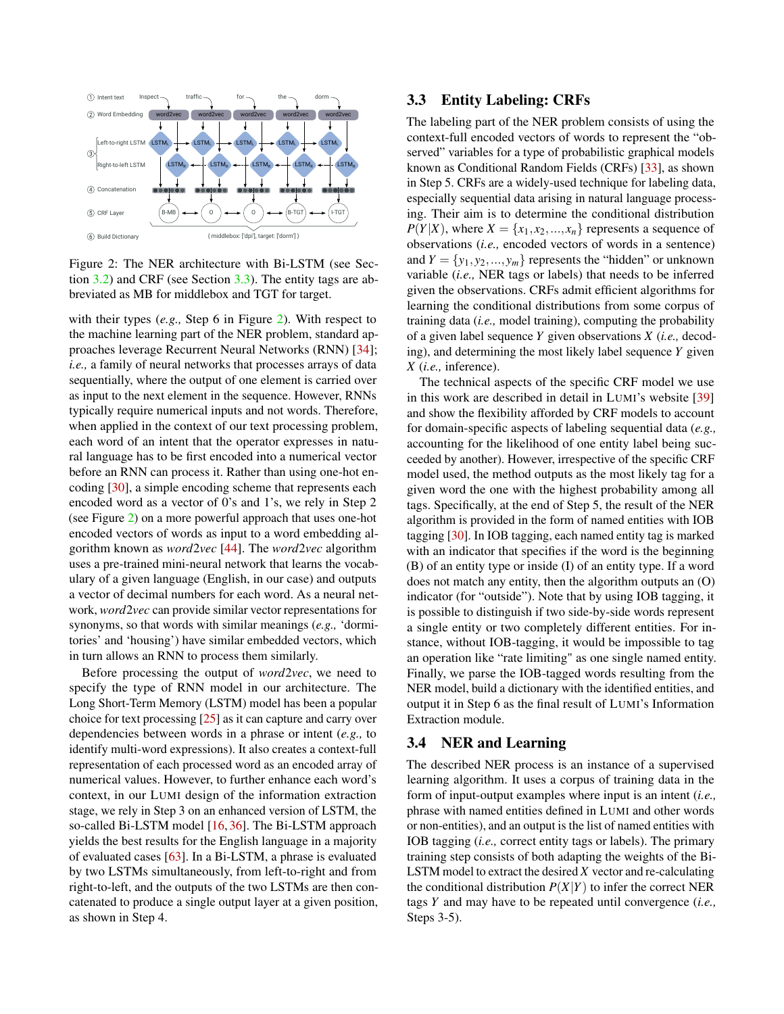<span id="page-3-0"></span>

Figure 2: The NER architecture with Bi-LSTM (see Section [3.2\)](#page-2-1) and CRF (see Section [3.3\)](#page-3-1). The entity tags are abbreviated as MB for middlebox and TGT for target.

with their types (*e.g.,* Step 6 in Figure [2\)](#page-3-0). With respect to the machine learning part of the NER problem, standard approaches leverage Recurrent Neural Networks (RNN) [\[34\]](#page-13-6); *i.e.,* a family of neural networks that processes arrays of data sequentially, where the output of one element is carried over as input to the next element in the sequence. However, RNNs typically require numerical inputs and not words. Therefore, when applied in the context of our text processing problem, each word of an intent that the operator expresses in natural language has to be first encoded into a numerical vector before an RNN can process it. Rather than using one-hot encoding [\[30\]](#page-13-2), a simple encoding scheme that represents each encoded word as a vector of 0's and 1's, we rely in Step 2 (see Figure [2\)](#page-3-0) on a more powerful approach that uses one-hot encoded vectors of words as input to a word embedding algorithm known as *word*2*vec* [\[44\]](#page-14-5). The *word*2*vec* algorithm uses a pre-trained mini-neural network that learns the vocabulary of a given language (English, in our case) and outputs a vector of decimal numbers for each word. As a neural network, *word*2*vec* can provide similar vector representations for synonyms, so that words with similar meanings (*e.g.,* 'dormitories' and 'housing') have similar embedded vectors, which in turn allows an RNN to process them similarly.

Before processing the output of *word*2*vec*, we need to specify the type of RNN model in our architecture. The Long Short-Term Memory (LSTM) model has been a popular choice for text processing [\[25\]](#page-13-7) as it can capture and carry over dependencies between words in a phrase or intent (*e.g.,* to identify multi-word expressions). It also creates a context-full representation of each processed word as an encoded array of numerical values. However, to further enhance each word's context, in our LUMI design of the information extraction stage, we rely in Step 3 on an enhanced version of LSTM, the so-called Bi-LSTM model [\[16,](#page-12-5) [36\]](#page-13-8). The Bi-LSTM approach yields the best results for the English language in a majority of evaluated cases [\[63\]](#page-14-6). In a Bi-LSTM, a phrase is evaluated by two LSTMs simultaneously, from left-to-right and from right-to-left, and the outputs of the two LSTMs are then concatenated to produce a single output layer at a given position, as shown in Step 4.

#### <span id="page-3-1"></span>3.3 Entity Labeling: CRFs

The labeling part of the NER problem consists of using the context-full encoded vectors of words to represent the "observed" variables for a type of probabilistic graphical models known as Conditional Random Fields (CRFs) [\[33\]](#page-13-9), as shown in Step 5. CRFs are a widely-used technique for labeling data, especially sequential data arising in natural language processing. Their aim is to determine the conditional distribution  $P(Y|X)$ , where  $X = \{x_1, x_2, ..., x_n\}$  represents a sequence of observations (*i.e.,* encoded vectors of words in a sentence) and  $Y = \{y_1, y_2, ..., y_m\}$  represents the "hidden" or unknown variable (*i.e.,* NER tags or labels) that needs to be inferred given the observations. CRFs admit efficient algorithms for learning the conditional distributions from some corpus of training data (*i.e.,* model training), computing the probability of a given label sequence *Y* given observations *X* (*i.e.,* decoding), and determining the most likely label sequence *Y* given *X* (*i.e.,* inference).

The technical aspects of the specific CRF model we use in this work are described in detail in LUMI's website [\[39\]](#page-13-4) and show the flexibility afforded by CRF models to account for domain-specific aspects of labeling sequential data (*e.g.,* accounting for the likelihood of one entity label being succeeded by another). However, irrespective of the specific CRF model used, the method outputs as the most likely tag for a given word the one with the highest probability among all tags. Specifically, at the end of Step 5, the result of the NER algorithm is provided in the form of named entities with IOB tagging [\[30\]](#page-13-2). In IOB tagging, each named entity tag is marked with an indicator that specifies if the word is the beginning (B) of an entity type or inside (I) of an entity type. If a word does not match any entity, then the algorithm outputs an (O) indicator (for "outside"). Note that by using IOB tagging, it is possible to distinguish if two side-by-side words represent a single entity or two completely different entities. For instance, without IOB-tagging, it would be impossible to tag an operation like "rate limiting" as one single named entity. Finally, we parse the IOB-tagged words resulting from the NER model, build a dictionary with the identified entities, and output it in Step 6 as the final result of LUMI's Information Extraction module.

### 3.4 NER and Learning

The described NER process is an instance of a supervised learning algorithm. It uses a corpus of training data in the form of input-output examples where input is an intent (*i.e.,* phrase with named entities defined in LUMI and other words or non-entities), and an output is the list of named entities with IOB tagging (*i.e.,* correct entity tags or labels). The primary training step consists of both adapting the weights of the Bi-LSTM model to extract the desired *X* vector and re-calculating the conditional distribution  $P(X|Y)$  to infer the correct NER tags *Y* and may have to be repeated until convergence (*i.e.,* Steps 3-5).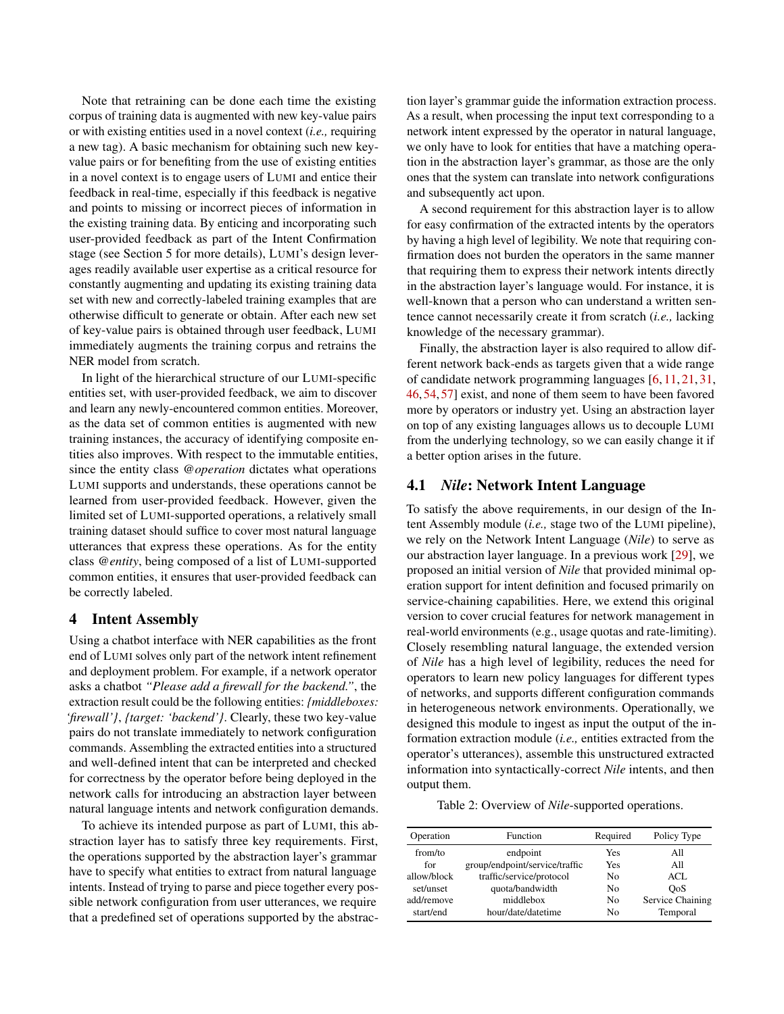Note that retraining can be done each time the existing corpus of training data is augmented with new key-value pairs or with existing entities used in a novel context (*i.e.,* requiring a new tag). A basic mechanism for obtaining such new keyvalue pairs or for benefiting from the use of existing entities in a novel context is to engage users of LUMI and entice their feedback in real-time, especially if this feedback is negative and points to missing or incorrect pieces of information in the existing training data. By enticing and incorporating such user-provided feedback as part of the Intent Confirmation stage (see Section 5 for more details), LUMI's design leverages readily available user expertise as a critical resource for constantly augmenting and updating its existing training data set with new and correctly-labeled training examples that are otherwise difficult to generate or obtain. After each new set of key-value pairs is obtained through user feedback, LUMI immediately augments the training corpus and retrains the NER model from scratch.

In light of the hierarchical structure of our LUMI-specific entities set, with user-provided feedback, we aim to discover and learn any newly-encountered common entities. Moreover, as the data set of common entities is augmented with new training instances, the accuracy of identifying composite entities also improves. With respect to the immutable entities, since the entity class *@operation* dictates what operations LUMI supports and understands, these operations cannot be learned from user-provided feedback. However, given the limited set of LUMI-supported operations, a relatively small training dataset should suffice to cover most natural language utterances that express these operations. As for the entity class *@entity*, being composed of a list of LUMI-supported common entities, it ensures that user-provided feedback can be correctly labeled.

#### <span id="page-4-0"></span>4 Intent Assembly

Using a chatbot interface with NER capabilities as the front end of LUMI solves only part of the network intent refinement and deployment problem. For example, if a network operator asks a chatbot *"Please add a firewall for the backend."*, the extraction result could be the following entities: *{middleboxes: 'firewall'}*, *{target: 'backend'}*. Clearly, these two key-value pairs do not translate immediately to network configuration commands. Assembling the extracted entities into a structured and well-defined intent that can be interpreted and checked for correctness by the operator before being deployed in the network calls for introducing an abstraction layer between natural language intents and network configuration demands.

To achieve its intended purpose as part of LUMI, this abstraction layer has to satisfy three key requirements. First, the operations supported by the abstraction layer's grammar have to specify what entities to extract from natural language intents. Instead of trying to parse and piece together every possible network configuration from user utterances, we require that a predefined set of operations supported by the abstraction layer's grammar guide the information extraction process. As a result, when processing the input text corresponding to a network intent expressed by the operator in natural language, we only have to look for entities that have a matching operation in the abstraction layer's grammar, as those are the only ones that the system can translate into network configurations and subsequently act upon.

A second requirement for this abstraction layer is to allow for easy confirmation of the extracted intents by the operators by having a high level of legibility. We note that requiring confirmation does not burden the operators in the same manner that requiring them to express their network intents directly in the abstraction layer's language would. For instance, it is well-known that a person who can understand a written sentence cannot necessarily create it from scratch (*i.e.,* lacking knowledge of the necessary grammar).

Finally, the abstraction layer is also required to allow different network back-ends as targets given that a wide range of candidate network programming languages [\[6,](#page-12-6) [11,](#page-12-7) [21,](#page-12-8) [31,](#page-13-10) [46,](#page-14-7) [54,](#page-14-8) [57\]](#page-14-3) exist, and none of them seem to have been favored more by operators or industry yet. Using an abstraction layer on top of any existing languages allows us to decouple LUMI from the underlying technology, so we can easily change it if a better option arises in the future.

# 4.1 *Nile*: Network Intent Language

To satisfy the above requirements, in our design of the Intent Assembly module (*i.e.,* stage two of the LUMI pipeline), we rely on the Network Intent Language (*Nile*) to serve as our abstraction layer language. In a previous work [\[29\]](#page-13-11), we proposed an initial version of *Nile* that provided minimal operation support for intent definition and focused primarily on service-chaining capabilities. Here, we extend this original version to cover crucial features for network management in real-world environments (e.g., usage quotas and rate-limiting). Closely resembling natural language, the extended version of *Nile* has a high level of legibility, reduces the need for operators to learn new policy languages for different types of networks, and supports different configuration commands in heterogeneous network environments. Operationally, we designed this module to ingest as input the output of the information extraction module (*i.e.,* entities extracted from the operator's utterances), assemble this unstructured extracted information into syntactically-correct *Nile* intents, and then output them.

<span id="page-4-1"></span>Table 2: Overview of *Nile*-supported operations.

| Operation   | Function                       | Required | Policy Type      |
|-------------|--------------------------------|----------|------------------|
| from/to     | endpoint                       | Yes      | All              |
| for         | group/endpoint/service/traffic | Yes      | All              |
| allow/block | traffic/service/protocol       | No.      | ACL              |
| set/unset   | quota/bandwidth                | No       | <b>OoS</b>       |
| add/remove  | middlebox                      | No       | Service Chaining |
| start/end   | hour/date/datetime             | No       | Temporal         |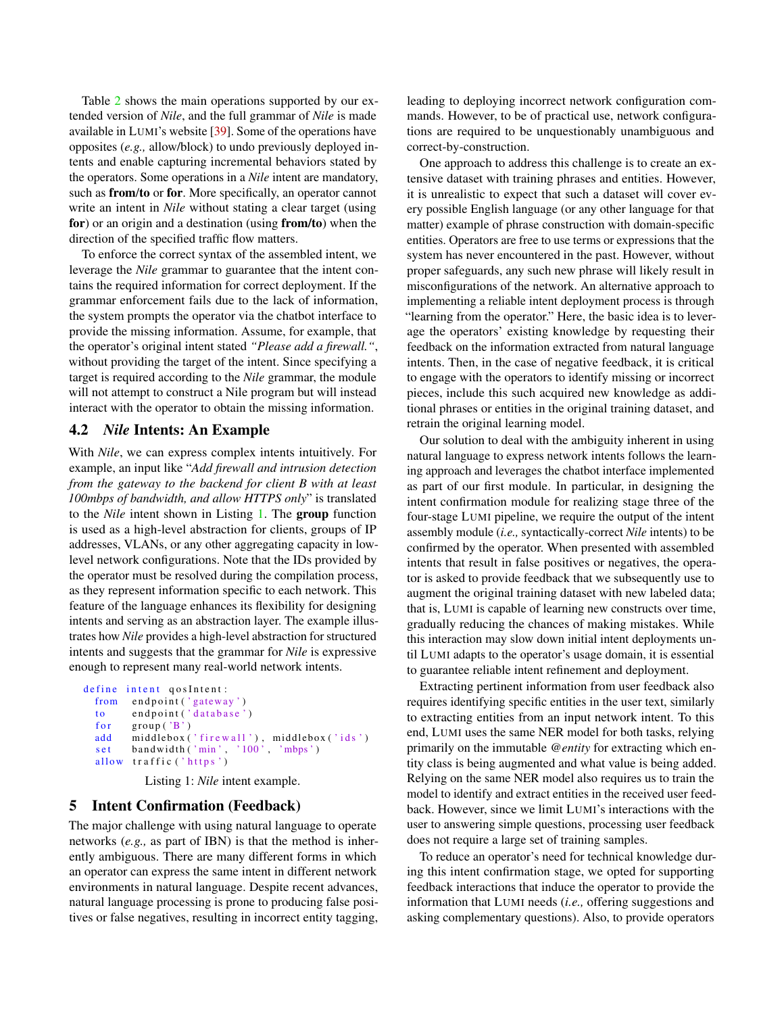Table [2](#page-4-1) shows the main operations supported by our extended version of *Nile*, and the full grammar of *Nile* is made available in LUMI's website [\[39\]](#page-13-4). Some of the operations have opposites (*e.g.,* allow/block) to undo previously deployed intents and enable capturing incremental behaviors stated by the operators. Some operations in a *Nile* intent are mandatory, such as **from/to** or **for**. More specifically, an operator cannot write an intent in *Nile* without stating a clear target (using for) or an origin and a destination (using from/to) when the direction of the specified traffic flow matters.

To enforce the correct syntax of the assembled intent, we leverage the *Nile* grammar to guarantee that the intent contains the required information for correct deployment. If the grammar enforcement fails due to the lack of information, the system prompts the operator via the chatbot interface to provide the missing information. Assume, for example, that the operator's original intent stated *"Please add a firewall."*, without providing the target of the intent. Since specifying a target is required according to the *Nile* grammar, the module will not attempt to construct a Nile program but will instead interact with the operator to obtain the missing information.

# 4.2 *Nile* Intents: An Example

With *Nile*, we can express complex intents intuitively. For example, an input like "*Add firewall and intrusion detection from the gateway to the backend for client B with at least 100mbps of bandwidth, and allow HTTPS only*" is translated to the *Nile* intent shown in Listing [1.](#page-5-1) The group function is used as a high-level abstraction for clients, groups of IP addresses, VLANs, or any other aggregating capacity in lowlevel network configurations. Note that the IDs provided by the operator must be resolved during the compilation process, as they represent information specific to each network. This feature of the language enhances its flexibility for designing intents and serving as an abstraction layer. The example illustrates how *Nile* provides a high-level abstraction for structured intents and suggests that the grammar for *Nile* is expressive enough to represent many real-world network intents.

```
define intent qosIntent:
from endpoint ('gateway')
\text{to} \quad \text{endpoint}(\text{'database'})for group('B')add middlebox('firewall'), middlebox('ids')
set bandwidth ('min', '100', 'mbps')
allow traffic ('https')
```
Listing 1: *Nile* intent example.

### <span id="page-5-0"></span>5 Intent Confirmation (Feedback)

The major challenge with using natural language to operate networks (*e.g.,* as part of IBN) is that the method is inherently ambiguous. There are many different forms in which an operator can express the same intent in different network environments in natural language. Despite recent advances, natural language processing is prone to producing false positives or false negatives, resulting in incorrect entity tagging, leading to deploying incorrect network configuration commands. However, to be of practical use, network configurations are required to be unquestionably unambiguous and correct-by-construction.

One approach to address this challenge is to create an extensive dataset with training phrases and entities. However, it is unrealistic to expect that such a dataset will cover every possible English language (or any other language for that matter) example of phrase construction with domain-specific entities. Operators are free to use terms or expressions that the system has never encountered in the past. However, without proper safeguards, any such new phrase will likely result in misconfigurations of the network. An alternative approach to implementing a reliable intent deployment process is through "learning from the operator." Here, the basic idea is to leverage the operators' existing knowledge by requesting their feedback on the information extracted from natural language intents. Then, in the case of negative feedback, it is critical to engage with the operators to identify missing or incorrect pieces, include this such acquired new knowledge as additional phrases or entities in the original training dataset, and retrain the original learning model.

Our solution to deal with the ambiguity inherent in using natural language to express network intents follows the learning approach and leverages the chatbot interface implemented as part of our first module. In particular, in designing the intent confirmation module for realizing stage three of the four-stage LUMI pipeline, we require the output of the intent assembly module (*i.e.,* syntactically-correct *Nile* intents) to be confirmed by the operator. When presented with assembled intents that result in false positives or negatives, the operator is asked to provide feedback that we subsequently use to augment the original training dataset with new labeled data; that is, LUMI is capable of learning new constructs over time, gradually reducing the chances of making mistakes. While this interaction may slow down initial intent deployments until LUMI adapts to the operator's usage domain, it is essential to guarantee reliable intent refinement and deployment.

Extracting pertinent information from user feedback also requires identifying specific entities in the user text, similarly to extracting entities from an input network intent. To this end, LUMI uses the same NER model for both tasks, relying primarily on the immutable *@entity* for extracting which entity class is being augmented and what value is being added. Relying on the same NER model also requires us to train the model to identify and extract entities in the received user feedback. However, since we limit LUMI's interactions with the user to answering simple questions, processing user feedback does not require a large set of training samples.

To reduce an operator's need for technical knowledge during this intent confirmation stage, we opted for supporting feedback interactions that induce the operator to provide the information that LUMI needs (*i.e.,* offering suggestions and asking complementary questions). Also, to provide operators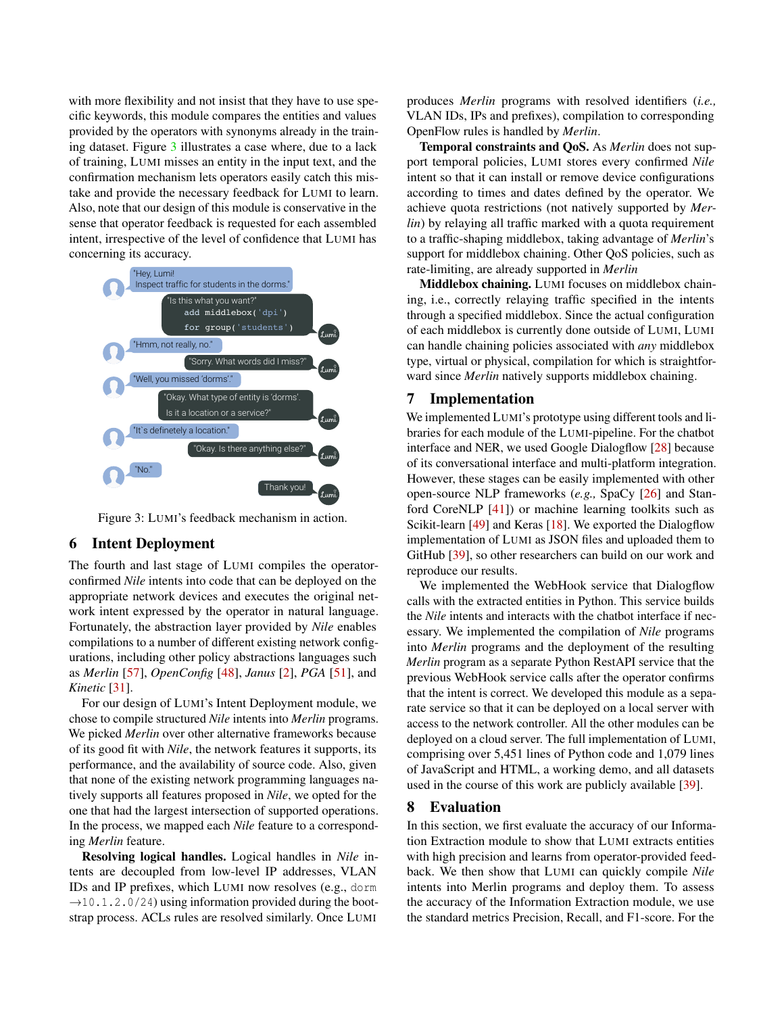with more flexibility and not insist that they have to use specific keywords, this module compares the entities and values provided by the operators with synonyms already in the training dataset. Figure [3](#page-6-2) illustrates a case where, due to a lack of training, LUMI misses an entity in the input text, and the confirmation mechanism lets operators easily catch this mistake and provide the necessary feedback for LUMI to learn. Also, note that our design of this module is conservative in the sense that operator feedback is requested for each assembled intent, irrespective of the level of confidence that LUMI has concerning its accuracy.

<span id="page-6-2"></span>

Figure 3: LUMI's feedback mechanism in action.

#### <span id="page-6-0"></span>6 Intent Deployment

The fourth and last stage of LUMI compiles the operatorconfirmed *Nile* intents into code that can be deployed on the appropriate network devices and executes the original network intent expressed by the operator in natural language. Fortunately, the abstraction layer provided by *Nile* enables compilations to a number of different existing network configurations, including other policy abstractions languages such as *Merlin* [\[57\]](#page-14-3), *OpenConfig* [\[48\]](#page-14-9), *Janus* [\[2\]](#page-12-9), *PGA* [\[51\]](#page-14-10), and *Kinetic* [\[31\]](#page-13-10).

For our design of LUMI's Intent Deployment module, we chose to compile structured *Nile* intents into *Merlin* programs. We picked *Merlin* over other alternative frameworks because of its good fit with *Nile*, the network features it supports, its performance, and the availability of source code. Also, given that none of the existing network programming languages natively supports all features proposed in *Nile*, we opted for the one that had the largest intersection of supported operations. In the process, we mapped each *Nile* feature to a corresponding *Merlin* feature.

Resolving logical handles. Logical handles in *Nile* intents are decoupled from low-level IP addresses, VLAN IDs and IP prefixes, which LUMI now resolves (e.g., dorm  $\rightarrow$ 10.1.2.0/24) using information provided during the bootstrap process. ACLs rules are resolved similarly. Once LUMI

produces *Merlin* programs with resolved identifiers (*i.e.,* VLAN IDs, IPs and prefixes), compilation to corresponding OpenFlow rules is handled by *Merlin*.

Temporal constraints and QoS. As *Merlin* does not support temporal policies, LUMI stores every confirmed *Nile* intent so that it can install or remove device configurations according to times and dates defined by the operator. We achieve quota restrictions (not natively supported by *Merlin*) by relaying all traffic marked with a quota requirement to a traffic-shaping middlebox, taking advantage of *Merlin*'s support for middlebox chaining. Other QoS policies, such as rate-limiting, are already supported in *Merlin*

Middlebox chaining. LUMI focuses on middlebox chaining, i.e., correctly relaying traffic specified in the intents through a specified middlebox. Since the actual configuration of each middlebox is currently done outside of LUMI, LUMI can handle chaining policies associated with *any* middlebox type, virtual or physical, compilation for which is straightforward since *Merlin* natively supports middlebox chaining.

### 7 Implementation

We implemented LUMI's prototype using different tools and libraries for each module of the LUMI-pipeline. For the chatbot interface and NER, we used Google Dialogflow [\[28\]](#page-13-3) because of its conversational interface and multi-platform integration. However, these stages can be easily implemented with other open-source NLP frameworks (*e.g.,* SpaCy [\[26\]](#page-13-12) and Stanford CoreNLP [\[41\]](#page-13-13)) or machine learning toolkits such as Scikit-learn [\[49\]](#page-14-4) and Keras [\[18\]](#page-12-10). We exported the Dialogflow implementation of LUMI as JSON files and uploaded them to GitHub [\[39\]](#page-13-4), so other researchers can build on our work and reproduce our results.

We implemented the WebHook service that Dialogflow calls with the extracted entities in Python. This service builds the *Nile* intents and interacts with the chatbot interface if necessary. We implemented the compilation of *Nile* programs into *Merlin* programs and the deployment of the resulting *Merlin* program as a separate Python RestAPI service that the previous WebHook service calls after the operator confirms that the intent is correct. We developed this module as a separate service so that it can be deployed on a local server with access to the network controller. All the other modules can be deployed on a cloud server. The full implementation of LUMI, comprising over 5,451 lines of Python code and 1,079 lines of JavaScript and HTML, a working demo, and all datasets used in the course of this work are publicly available [\[39\]](#page-13-4).

#### <span id="page-6-1"></span>8 Evaluation

In this section, we first evaluate the accuracy of our Information Extraction module to show that LUMI extracts entities with high precision and learns from operator-provided feedback. We then show that LUMI can quickly compile *Nile* intents into Merlin programs and deploy them. To assess the accuracy of the Information Extraction module, we use the standard metrics Precision, Recall, and F1-score. For the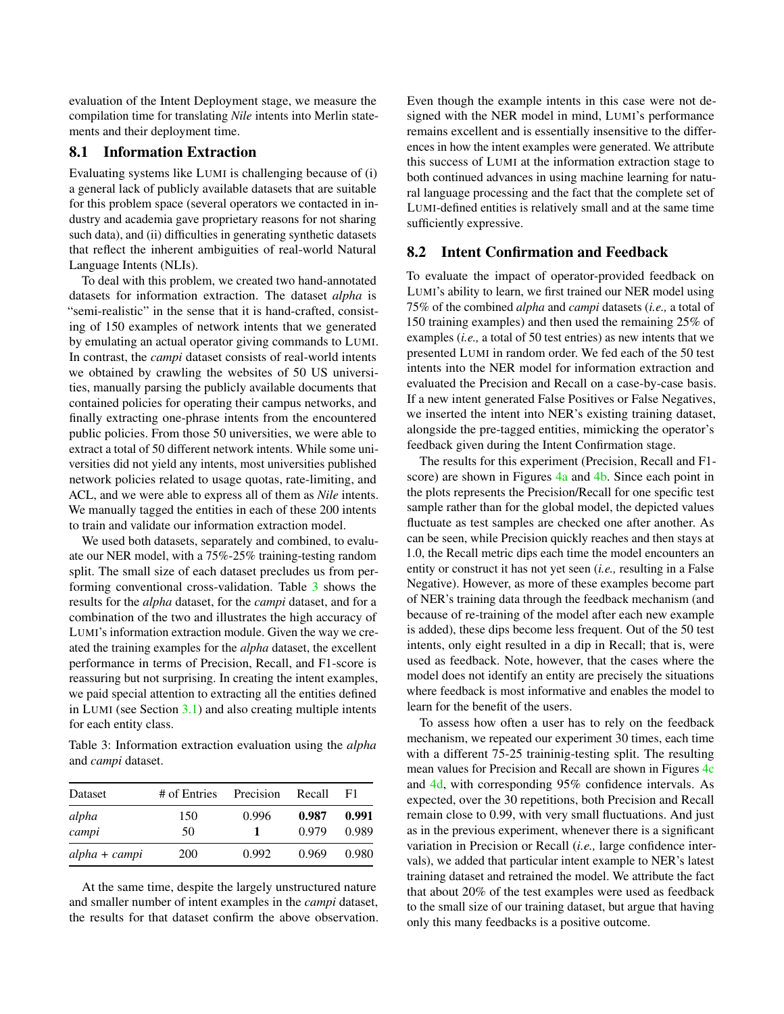evaluation of the Intent Deployment stage, we measure the compilation time for translating *Nile* intents into Merlin statements and their deployment time.

### 8.1 Information Extraction

Evaluating systems like LUMI is challenging because of (i) a general lack of publicly available datasets that are suitable for this problem space (several operators we contacted in industry and academia gave proprietary reasons for not sharing such data), and (ii) difficulties in generating synthetic datasets that reflect the inherent ambiguities of real-world Natural Language Intents (NLIs).

To deal with this problem, we created two hand-annotated datasets for information extraction. The dataset *alpha* is "semi-realistic" in the sense that it is hand-crafted, consisting of 150 examples of network intents that we generated by emulating an actual operator giving commands to LUMI. In contrast, the *campi* dataset consists of real-world intents we obtained by crawling the websites of 50 US universities, manually parsing the publicly available documents that contained policies for operating their campus networks, and finally extracting one-phrase intents from the encountered public policies. From those 50 universities, we were able to extract a total of 50 different network intents. While some universities did not yield any intents, most universities published network policies related to usage quotas, rate-limiting, and ACL, and we were able to express all of them as *Nile* intents. We manually tagged the entities in each of these 200 intents to train and validate our information extraction model.

We used both datasets, separately and combined, to evaluate our NER model, with a 75%-25% training-testing random split. The small size of each dataset precludes us from performing conventional cross-validation. Table [3](#page-7-0) shows the results for the *alpha* dataset, for the *campi* dataset, and for a combination of the two and illustrates the high accuracy of LUMI's information extraction module. Given the way we created the training examples for the *alpha* dataset, the excellent performance in terms of Precision, Recall, and F1-score is reassuring but not surprising. In creating the intent examples, we paid special attention to extracting all the entities defined in LUMI (see Section [3.1\)](#page-2-2) and also creating multiple intents for each entity class.

<span id="page-7-0"></span>Table 3: Information extraction evaluation using the *alpha* and *campi* dataset.

| Dataset         | # of Entries | Precision | Recall         | F1             |
|-----------------|--------------|-----------|----------------|----------------|
| alpha<br>campi  | 150<br>50    | 0.996     | 0.987<br>0.979 | 0.991<br>0.989 |
| $alpha + campi$ | <b>200</b>   | 0.992     | 0.969          | 0.980          |

At the same time, despite the largely unstructured nature and smaller number of intent examples in the *campi* dataset, the results for that dataset confirm the above observation. Even though the example intents in this case were not designed with the NER model in mind, LUMI's performance remains excellent and is essentially insensitive to the differences in how the intent examples were generated. We attribute this success of LUMI at the information extraction stage to both continued advances in using machine learning for natural language processing and the fact that the complete set of LUMI-defined entities is relatively small and at the same time sufficiently expressive.

## 8.2 Intent Confirmation and Feedback

To evaluate the impact of operator-provided feedback on LUMI's ability to learn, we first trained our NER model using 75% of the combined *alpha* and *campi* datasets (*i.e.,* a total of 150 training examples) and then used the remaining 25% of examples (*i.e.,* a total of 50 test entries) as new intents that we presented LUMI in random order. We fed each of the 50 test intents into the NER model for information extraction and evaluated the Precision and Recall on a case-by-case basis. If a new intent generated False Positives or False Negatives, we inserted the intent into NER's existing training dataset, alongside the pre-tagged entities, mimicking the operator's feedback given during the Intent Confirmation stage.

The results for this experiment (Precision, Recall and F1 score) are shown in Figures  $4a$  and  $4b$ . Since each point in the plots represents the Precision/Recall for one specific test sample rather than for the global model, the depicted values fluctuate as test samples are checked one after another. As can be seen, while Precision quickly reaches and then stays at 1.0, the Recall metric dips each time the model encounters an entity or construct it has not yet seen (*i.e.,* resulting in a False Negative). However, as more of these examples become part of NER's training data through the feedback mechanism (and because of re-training of the model after each new example is added), these dips become less frequent. Out of the 50 test intents, only eight resulted in a dip in Recall; that is, were used as feedback. Note, however, that the cases where the model does not identify an entity are precisely the situations where feedback is most informative and enables the model to learn for the benefit of the users.

To assess how often a user has to rely on the feedback mechanism, we repeated our experiment 30 times, each time with a different 75-25 traininig-testing split. The resulting mean values for Precision and Recall are shown in Figures [4c](#page-8-1) and [4d,](#page-8-1) with corresponding 95% confidence intervals. As expected, over the 30 repetitions, both Precision and Recall remain close to 0.99, with very small fluctuations. And just as in the previous experiment, whenever there is a significant variation in Precision or Recall (*i.e.,* large confidence intervals), we added that particular intent example to NER's latest training dataset and retrained the model. We attribute the fact that about 20% of the test examples were used as feedback to the small size of our training dataset, but argue that having only this many feedbacks is a positive outcome.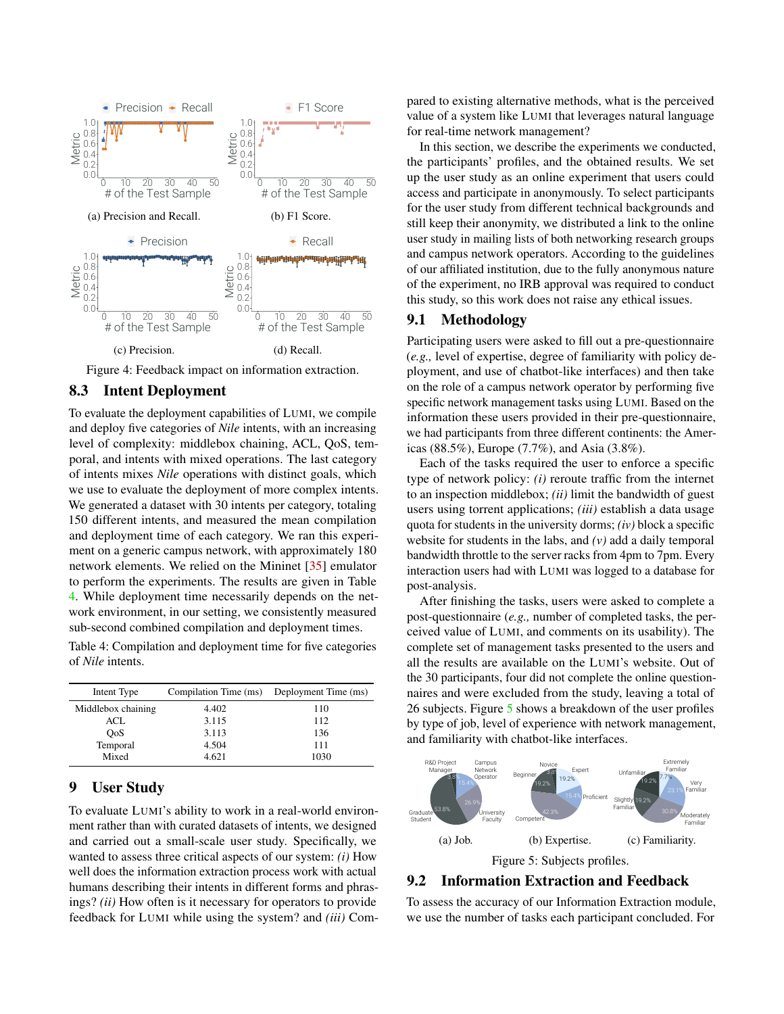<span id="page-8-1"></span>

Figure 4: Feedback impact on information extraction.

### 8.3 Intent Deployment

To evaluate the deployment capabilities of LUMI, we compile and deploy five categories of *Nile* intents, with an increasing level of complexity: middlebox chaining, ACL, QoS, temporal, and intents with mixed operations. The last category of intents mixes *Nile* operations with distinct goals, which we use to evaluate the deployment of more complex intents. We generated a dataset with 30 intents per category, totaling 150 different intents, and measured the mean compilation and deployment time of each category. We ran this experiment on a generic campus network, with approximately 180 network elements. We relied on the Mininet [\[35\]](#page-13-14) emulator to perform the experiments. The results are given in Table [4.](#page-8-2) While deployment time necessarily depends on the network environment, in our setting, we consistently measured sub-second combined compilation and deployment times.

<span id="page-8-2"></span>Table 4: Compilation and deployment time for five categories of *Nile* intents.

| Intent Type        |       | Compilation Time (ms) Deployment Time (ms) |
|--------------------|-------|--------------------------------------------|
| Middlebox chaining | 4.402 | 110                                        |
| ACL                | 3.115 | 112                                        |
| <b>OoS</b>         | 3.113 | 136                                        |
| Temporal           | 4.504 | 111                                        |
| Mixed              | 4.621 | 1030                                       |

### <span id="page-8-0"></span>9 User Study

To evaluate LUMI's ability to work in a real-world environment rather than with curated datasets of intents, we designed and carried out a small-scale user study. Specifically, we wanted to assess three critical aspects of our system: *(i)* How well does the information extraction process work with actual humans describing their intents in different forms and phrasings? *(ii)* How often is it necessary for operators to provide feedback for LUMI while using the system? and *(iii)* Com-

pared to existing alternative methods, what is the perceived value of a system like LUMI that leverages natural language for real-time network management?

In this section, we describe the experiments we conducted, the participants' profiles, and the obtained results. We set up the user study as an online experiment that users could access and participate in anonymously. To select participants for the user study from different technical backgrounds and still keep their anonymity, we distributed a link to the online user study in mailing lists of both networking research groups and campus network operators. According to the guidelines of our affiliated institution, due to the fully anonymous nature of the experiment, no IRB approval was required to conduct this study, so this work does not raise any ethical issues.

### 9.1 Methodology

Participating users were asked to fill out a pre-questionnaire (*e.g.,* level of expertise, degree of familiarity with policy deployment, and use of chatbot-like interfaces) and then take on the role of a campus network operator by performing five specific network management tasks using LUMI. Based on the information these users provided in their pre-questionnaire, we had participants from three different continents: the Americas (88.5%), Europe (7.7%), and Asia (3.8%).

Each of the tasks required the user to enforce a specific type of network policy: *(i)* reroute traffic from the internet to an inspection middlebox; *(ii)* limit the bandwidth of guest users using torrent applications; *(iii)* establish a data usage quota for students in the university dorms; *(iv)* block a specific website for students in the labs, and *(v)* add a daily temporal bandwidth throttle to the server racks from 4pm to 7pm. Every interaction users had with LUMI was logged to a database for post-analysis.

After finishing the tasks, users were asked to complete a post-questionnaire (*e.g.,* number of completed tasks, the perceived value of LUMI, and comments on its usability). The complete set of management tasks presented to the users and all the results are available on the LUMI's website. Out of the 30 participants, four did not complete the online questionnaires and were excluded from the study, leaving a total of 26 subjects. Figure [5](#page-8-3) shows a breakdown of the user profiles by type of job, level of experience with network management, and familiarity with chatbot-like interfaces.

<span id="page-8-3"></span>

## 9.2 Information Extraction and Feedback

To assess the accuracy of our Information Extraction module, we use the number of tasks each participant concluded. For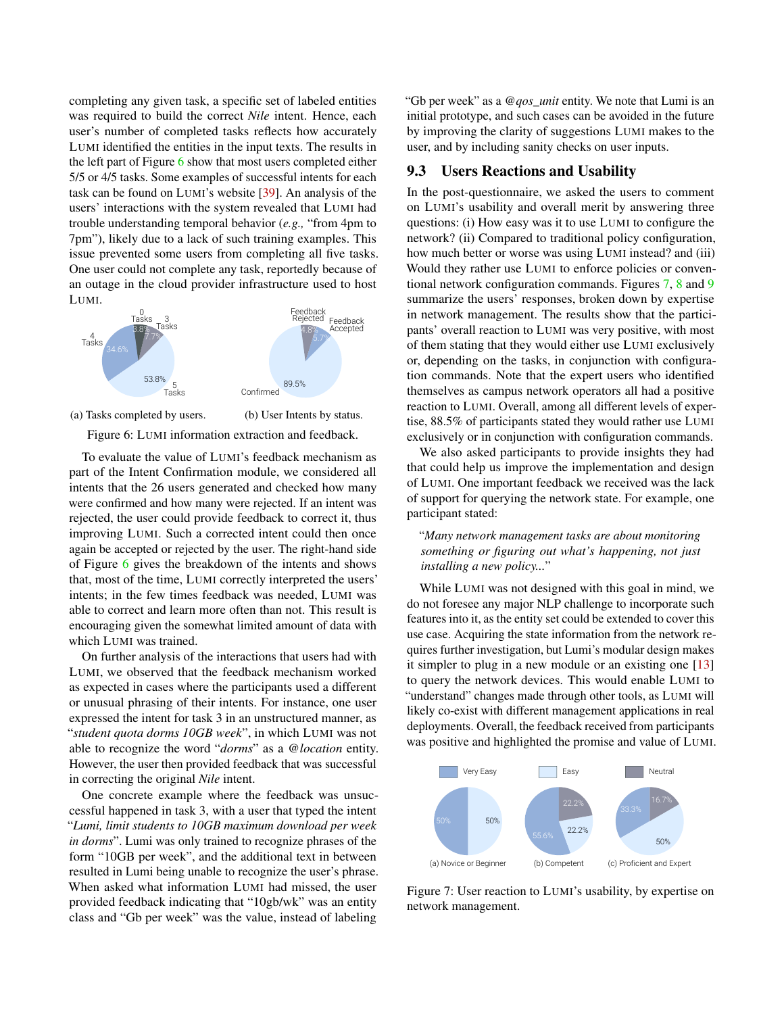completing any given task, a specific set of labeled entities was required to build the correct *Nile* intent. Hence, each user's number of completed tasks reflects how accurately LUMI identified the entities in the input texts. The results in the left part of Figure [6](#page-9-0) show that most users completed either 5/5 or 4/5 tasks. Some examples of successful intents for each task can be found on LUMI's website [\[39\]](#page-13-4). An analysis of the users' interactions with the system revealed that LUMI had trouble understanding temporal behavior (*e.g.,* "from 4pm to 7pm"), likely due to a lack of such training examples. This issue prevented some users from completing all five tasks. One user could not complete any task, reportedly because of an outage in the cloud provider infrastructure used to host LUMI.

<span id="page-9-0"></span>



(b) User Intents by status.

Figure 6: LUMI information extraction and feedback.

To evaluate the value of LUMI's feedback mechanism as part of the Intent Confirmation module, we considered all intents that the 26 users generated and checked how many were confirmed and how many were rejected. If an intent was rejected, the user could provide feedback to correct it, thus improving LUMI. Such a corrected intent could then once again be accepted or rejected by the user. The right-hand side of Figure [6](#page-9-0) gives the breakdown of the intents and shows that, most of the time, LUMI correctly interpreted the users' intents; in the few times feedback was needed, LUMI was able to correct and learn more often than not. This result is encouraging given the somewhat limited amount of data with which LUMI was trained.

On further analysis of the interactions that users had with LUMI, we observed that the feedback mechanism worked as expected in cases where the participants used a different or unusual phrasing of their intents. For instance, one user expressed the intent for task 3 in an unstructured manner, as "*student quota dorms 10GB week*", in which LUMI was not able to recognize the word "*dorms*" as a *@location* entity. However, the user then provided feedback that was successful in correcting the original *Nile* intent.

One concrete example where the feedback was unsuccessful happened in task 3, with a user that typed the intent "*Lumi, limit students to 10GB maximum download per week in dorms*". Lumi was only trained to recognize phrases of the form "10GB per week", and the additional text in between resulted in Lumi being unable to recognize the user's phrase. When asked what information LUMI had missed, the user provided feedback indicating that "10gb/wk" was an entity class and "Gb per week" was the value, instead of labeling

"Gb per week" as a *@qos\_unit* entity. We note that Lumi is an initial prototype, and such cases can be avoided in the future by improving the clarity of suggestions LUMI makes to the user, and by including sanity checks on user inputs.

# 9.3 Users Reactions and Usability

In the post-questionnaire, we asked the users to comment on LUMI's usability and overall merit by answering three questions: (i) How easy was it to use LUMI to configure the network? (ii) Compared to traditional policy configuration, how much better or worse was using LUMI instead? and (iii) Would they rather use LUMI to enforce policies or conventional network configuration commands. Figures [7,](#page-9-1) [8](#page-10-1) and [9](#page-10-2) summarize the users' responses, broken down by expertise in network management. The results show that the participants' overall reaction to LUMI was very positive, with most of them stating that they would either use LUMI exclusively or, depending on the tasks, in conjunction with configuration commands. Note that the expert users who identified themselves as campus network operators all had a positive reaction to LUMI. Overall, among all different levels of expertise, 88.5% of participants stated they would rather use LUMI exclusively or in conjunction with configuration commands.

We also asked participants to provide insights they had that could help us improve the implementation and design of LUMI. One important feedback we received was the lack of support for querying the network state. For example, one participant stated:

### "*Many network management tasks are about monitoring something or figuring out what's happening, not just installing a new policy...*"

While LUMI was not designed with this goal in mind, we do not foresee any major NLP challenge to incorporate such features into it, as the entity set could be extended to cover this use case. Acquiring the state information from the network requires further investigation, but Lumi's modular design makes it simpler to plug in a new module or an existing one [\[13\]](#page-12-3) to query the network devices. This would enable LUMI to "understand" changes made through other tools, as LUMI will likely co-exist with different management applications in real deployments. Overall, the feedback received from participants was positive and highlighted the promise and value of LUMI.

<span id="page-9-1"></span>

Figure 7: User reaction to LUMI's usability, by expertise on network management.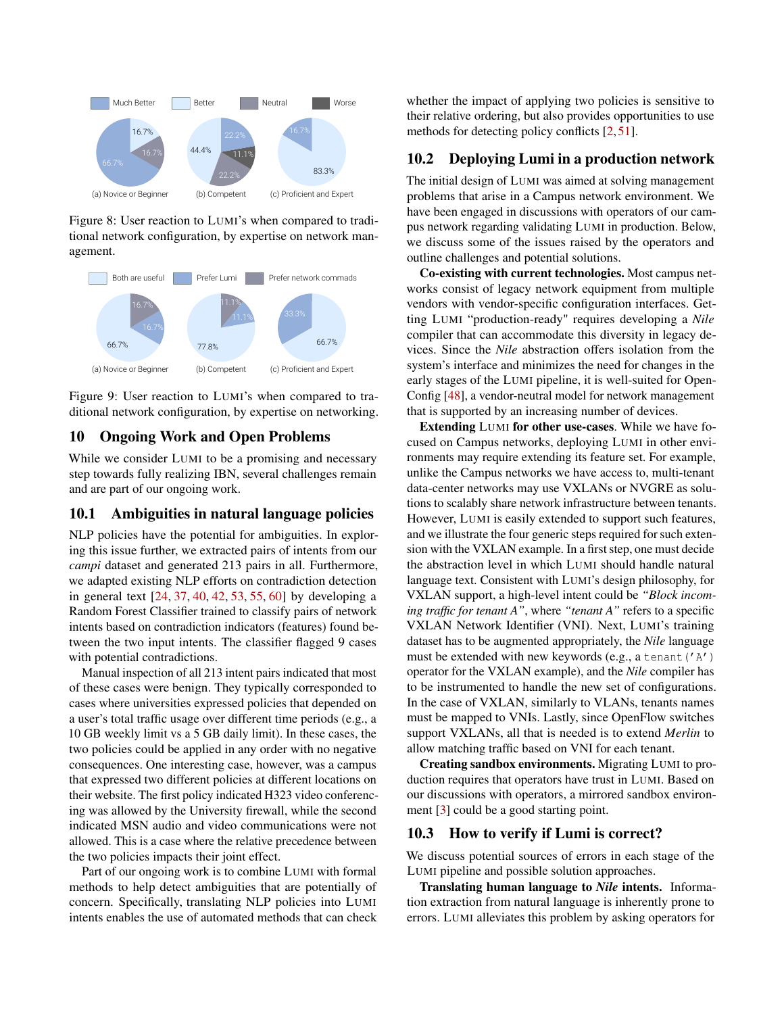<span id="page-10-1"></span>

Figure 8: User reaction to LUMI's when compared to traditional network configuration, by expertise on network management.

<span id="page-10-2"></span>

Figure 9: User reaction to LUMI's when compared to traditional network configuration, by expertise on networking.

# <span id="page-10-0"></span>10 Ongoing Work and Open Problems

While we consider LUMI to be a promising and necessary step towards fully realizing IBN, several challenges remain and are part of our ongoing work.

## 10.1 Ambiguities in natural language policies

NLP policies have the potential for ambiguities. In exploring this issue further, we extracted pairs of intents from our *campi* dataset and generated 213 pairs in all. Furthermore, we adapted existing NLP efforts on contradiction detection in general text [\[24,](#page-13-15) [37,](#page-13-16) [40,](#page-13-17) [42,](#page-13-18) [53,](#page-14-11) [55,](#page-14-12) [60\]](#page-14-13) by developing a Random Forest Classifier trained to classify pairs of network intents based on contradiction indicators (features) found between the two input intents. The classifier flagged 9 cases with potential contradictions.

Manual inspection of all 213 intent pairs indicated that most of these cases were benign. They typically corresponded to cases where universities expressed policies that depended on a user's total traffic usage over different time periods (e.g., a 10 GB weekly limit vs a 5 GB daily limit). In these cases, the two policies could be applied in any order with no negative consequences. One interesting case, however, was a campus that expressed two different policies at different locations on their website. The first policy indicated H323 video conferencing was allowed by the University firewall, while the second indicated MSN audio and video communications were not allowed. This is a case where the relative precedence between the two policies impacts their joint effect.

Part of our ongoing work is to combine LUMI with formal methods to help detect ambiguities that are potentially of concern. Specifically, translating NLP policies into LUMI intents enables the use of automated methods that can check whether the impact of applying two policies is sensitive to their relative ordering, but also provides opportunities to use methods for detecting policy conflicts [\[2,](#page-12-9) [51\]](#page-14-10).

# 10.2 Deploying Lumi in a production network

The initial design of LUMI was aimed at solving management problems that arise in a Campus network environment. We have been engaged in discussions with operators of our campus network regarding validating LUMI in production. Below, we discuss some of the issues raised by the operators and outline challenges and potential solutions.

Co-existing with current technologies. Most campus networks consist of legacy network equipment from multiple vendors with vendor-specific configuration interfaces. Getting LUMI "production-ready" requires developing a *Nile* compiler that can accommodate this diversity in legacy devices. Since the *Nile* abstraction offers isolation from the system's interface and minimizes the need for changes in the early stages of the LUMI pipeline, it is well-suited for Open-Config [\[48\]](#page-14-9), a vendor-neutral model for network management that is supported by an increasing number of devices.

Extending LUMI for other use-cases. While we have focused on Campus networks, deploying LUMI in other environments may require extending its feature set. For example, unlike the Campus networks we have access to, multi-tenant data-center networks may use VXLANs or NVGRE as solutions to scalably share network infrastructure between tenants. However, LUMI is easily extended to support such features, and we illustrate the four generic steps required for such extension with the VXLAN example. In a first step, one must decide the abstraction level in which LUMI should handle natural language text. Consistent with LUMI's design philosophy, for VXLAN support, a high-level intent could be *"Block incoming traffic for tenant A"*, where *"tenant A"* refers to a specific VXLAN Network Identifier (VNI). Next, LUMI's training dataset has to be augmented appropriately, the *Nile* language must be extended with new keywords (e.g., a tenant  $('A')$ ) operator for the VXLAN example), and the *Nile* compiler has to be instrumented to handle the new set of configurations. In the case of VXLAN, similarly to VLANs, tenants names must be mapped to VNIs. Lastly, since OpenFlow switches support VXLANs, all that is needed is to extend *Merlin* to allow matching traffic based on VNI for each tenant.

Creating sandbox environments. Migrating LUMI to production requires that operators have trust in LUMI. Based on our discussions with operators, a mirrored sandbox environment [\[3\]](#page-12-11) could be a good starting point.

# 10.3 How to verify if Lumi is correct?

We discuss potential sources of errors in each stage of the LUMI pipeline and possible solution approaches.

Translating human language to *Nile* intents. Information extraction from natural language is inherently prone to errors. LUMI alleviates this problem by asking operators for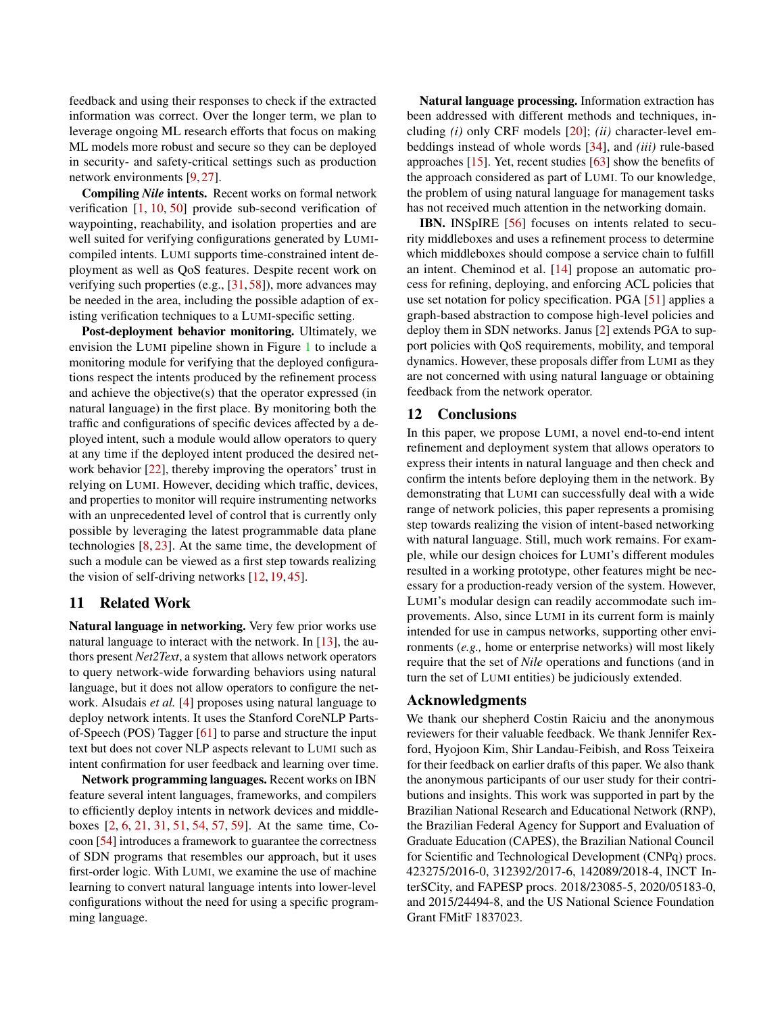feedback and using their responses to check if the extracted information was correct. Over the longer term, we plan to leverage ongoing ML research efforts that focus on making ML models more robust and secure so they can be deployed in security- and safety-critical settings such as production network environments [\[9,](#page-12-12) [27\]](#page-13-19).

Compiling *Nile* intents. Recent works on formal network verification [\[1,](#page-12-13) [10,](#page-12-14) [50\]](#page-14-14) provide sub-second verification of waypointing, reachability, and isolation properties and are well suited for verifying configurations generated by LUMIcompiled intents. LUMI supports time-constrained intent deployment as well as QoS features. Despite recent work on verifying such properties (e.g., [\[31,](#page-13-10) [58\]](#page-14-15)), more advances may be needed in the area, including the possible adaption of existing verification techniques to a LUMI-specific setting.

Post-deployment behavior monitoring. Ultimately, we envision the LUMI pipeline shown in Figure [1](#page-1-1) to include a monitoring module for verifying that the deployed configurations respect the intents produced by the refinement process and achieve the objective(s) that the operator expressed (in natural language) in the first place. By monitoring both the traffic and configurations of specific devices affected by a deployed intent, such a module would allow operators to query at any time if the deployed intent produced the desired network behavior [\[22\]](#page-13-20), thereby improving the operators' trust in relying on LUMI. However, deciding which traffic, devices, and properties to monitor will require instrumenting networks with an unprecedented level of control that is currently only possible by leveraging the latest programmable data plane technologies [\[8,](#page-12-15) [23\]](#page-13-21). At the same time, the development of such a module can be viewed as a first step towards realizing the vision of self-driving networks [\[12,](#page-12-16) [19,](#page-12-17) [45\]](#page-14-16).

#### 11 Related Work

Natural language in networking. Very few prior works use natural language to interact with the network. In [\[13\]](#page-12-3), the authors present *Net2Text*, a system that allows network operators to query network-wide forwarding behaviors using natural language, but it does not allow operators to configure the network. Alsudais *et al.* [\[4\]](#page-12-2) proposes using natural language to deploy network intents. It uses the Stanford CoreNLP Partsof-Speech (POS) Tagger [\[61\]](#page-14-17) to parse and structure the input text but does not cover NLP aspects relevant to LUMI such as intent confirmation for user feedback and learning over time.

Network programming languages. Recent works on IBN feature several intent languages, frameworks, and compilers to efficiently deploy intents in network devices and middleboxes [\[2,](#page-12-9) [6,](#page-12-6) [21,](#page-12-8) [31,](#page-13-10) [51,](#page-14-10) [54,](#page-14-8) [57,](#page-14-3) [59\]](#page-14-18). At the same time, Cocoon [\[54\]](#page-14-8) introduces a framework to guarantee the correctness of SDN programs that resembles our approach, but it uses first-order logic. With LUMI, we examine the use of machine learning to convert natural language intents into lower-level configurations without the need for using a specific programming language.

Natural language processing. Information extraction has been addressed with different methods and techniques, including *(i)* only CRF models [\[20\]](#page-12-18); *(ii)* character-level embeddings instead of whole words [\[34\]](#page-13-6), and *(iii)* rule-based approaches [\[15\]](#page-12-19). Yet, recent studies [\[63\]](#page-14-6) show the benefits of the approach considered as part of LUMI. To our knowledge, the problem of using natural language for management tasks has not received much attention in the networking domain.

IBN. INSpIRE [\[56\]](#page-14-19) focuses on intents related to security middleboxes and uses a refinement process to determine which middleboxes should compose a service chain to fulfill an intent. Cheminod et al. [\[14\]](#page-12-20) propose an automatic process for refining, deploying, and enforcing ACL policies that use set notation for policy specification. PGA [\[51\]](#page-14-10) applies a graph-based abstraction to compose high-level policies and deploy them in SDN networks. Janus [\[2\]](#page-12-9) extends PGA to support policies with QoS requirements, mobility, and temporal dynamics. However, these proposals differ from LUMI as they are not concerned with using natural language or obtaining feedback from the network operator.

#### 12 Conclusions

In this paper, we propose LUMI, a novel end-to-end intent refinement and deployment system that allows operators to express their intents in natural language and then check and confirm the intents before deploying them in the network. By demonstrating that LUMI can successfully deal with a wide range of network policies, this paper represents a promising step towards realizing the vision of intent-based networking with natural language. Still, much work remains. For example, while our design choices for LUMI's different modules resulted in a working prototype, other features might be necessary for a production-ready version of the system. However, LUMI's modular design can readily accommodate such improvements. Also, since LUMI in its current form is mainly intended for use in campus networks, supporting other environments (*e.g.,* home or enterprise networks) will most likely require that the set of *Nile* operations and functions (and in turn the set of LUMI entities) be judiciously extended.

#### Acknowledgments

We thank our shepherd Costin Raiciu and the anonymous reviewers for their valuable feedback. We thank Jennifer Rexford, Hyojoon Kim, Shir Landau-Feibish, and Ross Teixeira for their feedback on earlier drafts of this paper. We also thank the anonymous participants of our user study for their contributions and insights. This work was supported in part by the Brazilian National Research and Educational Network (RNP), the Brazilian Federal Agency for Support and Evaluation of Graduate Education (CAPES), the Brazilian National Council for Scientific and Technological Development (CNPq) procs. 423275/2016-0, 312392/2017-6, 142089/2018-4, INCT InterSCity, and FAPESP procs. 2018/23085-5, 2020/05183-0, and 2015/24494-8, and the US National Science Foundation Grant FMitF 1837023.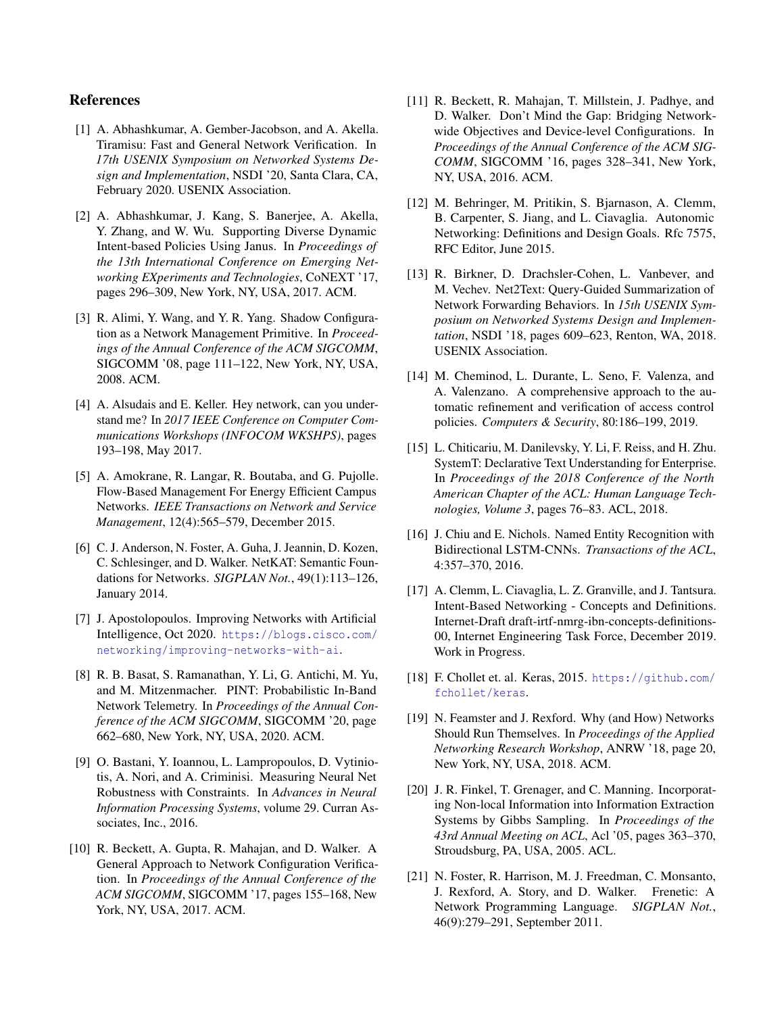# References

- <span id="page-12-13"></span>[1] A. Abhashkumar, A. Gember-Jacobson, and A. Akella. Tiramisu: Fast and General Network Verification. In *17th USENIX Symposium on Networked Systems Design and Implementation*, NSDI '20, Santa Clara, CA, February 2020. USENIX Association.
- <span id="page-12-9"></span>[2] A. Abhashkumar, J. Kang, S. Banerjee, A. Akella, Y. Zhang, and W. Wu. Supporting Diverse Dynamic Intent-based Policies Using Janus. In *Proceedings of the 13th International Conference on Emerging Networking EXperiments and Technologies*, CoNEXT '17, pages 296–309, New York, NY, USA, 2017. ACM.
- <span id="page-12-11"></span>[3] R. Alimi, Y. Wang, and Y. R. Yang. Shadow Configuration as a Network Management Primitive. In *Proceedings of the Annual Conference of the ACM SIGCOMM*, SIGCOMM '08, page 111–122, New York, NY, USA, 2008. ACM.
- <span id="page-12-2"></span>[4] A. Alsudais and E. Keller. Hey network, can you understand me? In *2017 IEEE Conference on Computer Communications Workshops (INFOCOM WKSHPS)*, pages 193–198, May 2017.
- <span id="page-12-4"></span>[5] A. Amokrane, R. Langar, R. Boutaba, and G. Pujolle. Flow-Based Management For Energy Efficient Campus Networks. *IEEE Transactions on Network and Service Management*, 12(4):565–579, December 2015.
- <span id="page-12-6"></span>[6] C. J. Anderson, N. Foster, A. Guha, J. Jeannin, D. Kozen, C. Schlesinger, and D. Walker. NetKAT: Semantic Foundations for Networks. *SIGPLAN Not.*, 49(1):113–126, January 2014.
- <span id="page-12-1"></span>[7] J. Apostolopoulos. Improving Networks with Artificial Intelligence, Oct 2020. [https://blogs.cisco.com/](https://blogs.cisco.com/networking/improving-networks-with-ai) [networking/improving-networks-with-ai](https://blogs.cisco.com/networking/improving-networks-with-ai).
- <span id="page-12-15"></span>[8] R. B. Basat, S. Ramanathan, Y. Li, G. Antichi, M. Yu, and M. Mitzenmacher. PINT: Probabilistic In-Band Network Telemetry. In *Proceedings of the Annual Conference of the ACM SIGCOMM*, SIGCOMM '20, page 662–680, New York, NY, USA, 2020. ACM.
- <span id="page-12-12"></span>[9] O. Bastani, Y. Ioannou, L. Lampropoulos, D. Vytiniotis, A. Nori, and A. Criminisi. Measuring Neural Net Robustness with Constraints. In *Advances in Neural Information Processing Systems*, volume 29. Curran Associates, Inc., 2016.
- <span id="page-12-14"></span>[10] R. Beckett, A. Gupta, R. Mahajan, and D. Walker. A General Approach to Network Configuration Verification. In *Proceedings of the Annual Conference of the ACM SIGCOMM*, SIGCOMM '17, pages 155–168, New York, NY, USA, 2017. ACM.
- <span id="page-12-7"></span>[11] R. Beckett, R. Mahajan, T. Millstein, J. Padhye, and D. Walker. Don't Mind the Gap: Bridging Networkwide Objectives and Device-level Configurations. In *Proceedings of the Annual Conference of the ACM SIG-COMM*, SIGCOMM '16, pages 328–341, New York, NY, USA, 2016. ACM.
- <span id="page-12-16"></span>[12] M. Behringer, M. Pritikin, S. Bjarnason, A. Clemm, B. Carpenter, S. Jiang, and L. Ciavaglia. Autonomic Networking: Definitions and Design Goals. Rfc 7575, RFC Editor, June 2015.
- <span id="page-12-3"></span>[13] R. Birkner, D. Drachsler-Cohen, L. Vanbever, and M. Vechev. Net2Text: Query-Guided Summarization of Network Forwarding Behaviors. In *15th USENIX Symposium on Networked Systems Design and Implementation*, NSDI '18, pages 609–623, Renton, WA, 2018. USENIX Association.
- <span id="page-12-20"></span>[14] M. Cheminod, L. Durante, L. Seno, F. Valenza, and A. Valenzano. A comprehensive approach to the automatic refinement and verification of access control policies. *Computers & Security*, 80:186–199, 2019.
- <span id="page-12-19"></span>[15] L. Chiticariu, M. Danilevsky, Y. Li, F. Reiss, and H. Zhu. SystemT: Declarative Text Understanding for Enterprise. In *Proceedings of the 2018 Conference of the North American Chapter of the ACL: Human Language Technologies, Volume 3*, pages 76–83. ACL, 2018.
- <span id="page-12-5"></span>[16] J. Chiu and E. Nichols. Named Entity Recognition with Bidirectional LSTM-CNNs. *Transactions of the ACL*, 4:357–370, 2016.
- <span id="page-12-0"></span>[17] A. Clemm, L. Ciavaglia, L. Z. Granville, and J. Tantsura. Intent-Based Networking - Concepts and Definitions. Internet-Draft draft-irtf-nmrg-ibn-concepts-definitions-00, Internet Engineering Task Force, December 2019. Work in Progress.
- <span id="page-12-10"></span>[18] F. Chollet et. al. Keras, 2015. [https://github.com/](https://github.com/fchollet/keras) [fchollet/keras](https://github.com/fchollet/keras).
- <span id="page-12-17"></span>[19] N. Feamster and J. Rexford. Why (and How) Networks Should Run Themselves. In *Proceedings of the Applied Networking Research Workshop*, ANRW '18, page 20, New York, NY, USA, 2018. ACM.
- <span id="page-12-18"></span>[20] J. R. Finkel, T. Grenager, and C. Manning. Incorporating Non-local Information into Information Extraction Systems by Gibbs Sampling. In *Proceedings of the 43rd Annual Meeting on ACL*, Acl '05, pages 363–370, Stroudsburg, PA, USA, 2005. ACL.
- <span id="page-12-8"></span>[21] N. Foster, R. Harrison, M. J. Freedman, C. Monsanto, J. Rexford, A. Story, and D. Walker. Frenetic: A Network Programming Language. *SIGPLAN Not.*, 46(9):279–291, September 2011.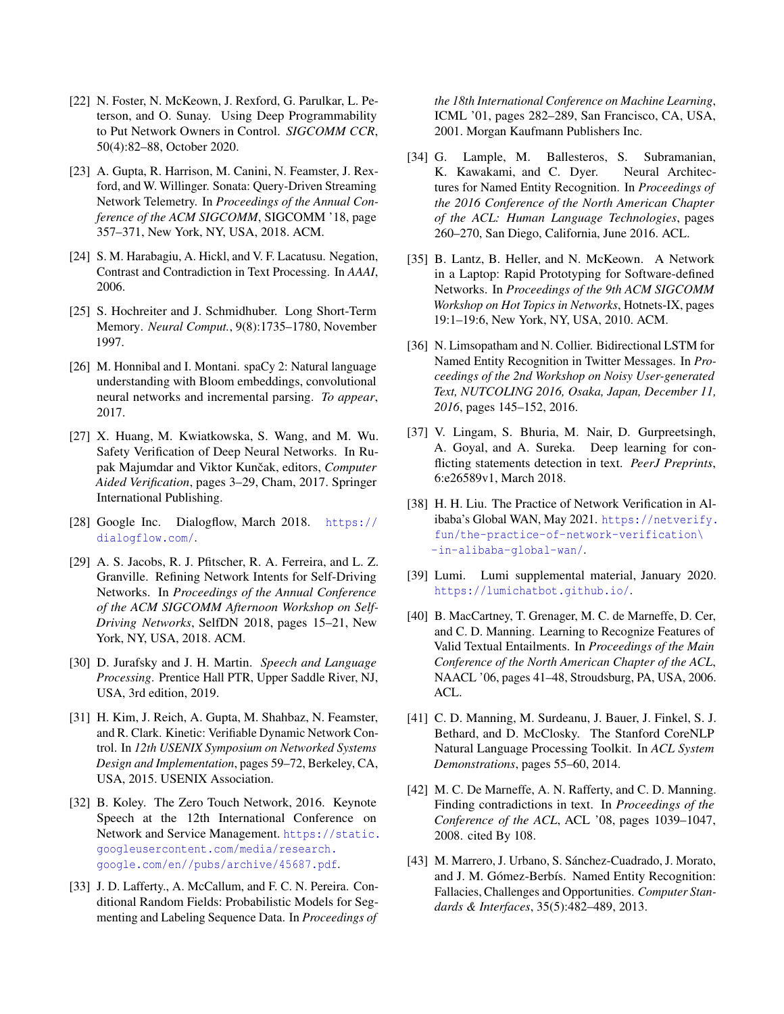- <span id="page-13-20"></span>[22] N. Foster, N. McKeown, J. Rexford, G. Parulkar, L. Peterson, and O. Sunay. Using Deep Programmability to Put Network Owners in Control. *SIGCOMM CCR*, 50(4):82–88, October 2020.
- <span id="page-13-21"></span>[23] A. Gupta, R. Harrison, M. Canini, N. Feamster, J. Rexford, and W. Willinger. Sonata: Query-Driven Streaming Network Telemetry. In *Proceedings of the Annual Conference of the ACM SIGCOMM*, SIGCOMM '18, page 357–371, New York, NY, USA, 2018. ACM.
- <span id="page-13-15"></span>[24] S. M. Harabagiu, A. Hickl, and V. F. Lacatusu. Negation, Contrast and Contradiction in Text Processing. In *AAAI*, 2006.
- <span id="page-13-7"></span>[25] S. Hochreiter and J. Schmidhuber. Long Short-Term Memory. *Neural Comput.*, 9(8):1735–1780, November 1997.
- <span id="page-13-12"></span>[26] M. Honnibal and I. Montani. spaCy 2: Natural language understanding with Bloom embeddings, convolutional neural networks and incremental parsing. *To appear*, 2017.
- <span id="page-13-19"></span>[27] X. Huang, M. Kwiatkowska, S. Wang, and M. Wu. Safety Verification of Deep Neural Networks. In Rupak Majumdar and Viktor Kunčak, editors, Computer *Aided Verification*, pages 3–29, Cham, 2017. Springer International Publishing.
- <span id="page-13-3"></span>[28] Google Inc. Dialogflow, March 2018. [https://](https://dialogflow.com/) [dialogflow.com/](https://dialogflow.com/).
- <span id="page-13-11"></span>[29] A. S. Jacobs, R. J. Pfitscher, R. A. Ferreira, and L. Z. Granville. Refining Network Intents for Self-Driving Networks. In *Proceedings of the Annual Conference of the ACM SIGCOMM Afternoon Workshop on Self-Driving Networks*, SelfDN 2018, pages 15–21, New York, NY, USA, 2018. ACM.
- <span id="page-13-2"></span>[30] D. Jurafsky and J. H. Martin. *Speech and Language Processing*. Prentice Hall PTR, Upper Saddle River, NJ, USA, 3rd edition, 2019.
- <span id="page-13-10"></span>[31] H. Kim, J. Reich, A. Gupta, M. Shahbaz, N. Feamster, and R. Clark. Kinetic: Verifiable Dynamic Network Control. In *12th USENIX Symposium on Networked Systems Design and Implementation*, pages 59–72, Berkeley, CA, USA, 2015. USENIX Association.
- <span id="page-13-0"></span>[32] B. Koley. The Zero Touch Network, 2016. Keynote Speech at the 12th International Conference on Network and Service Management. [https://static.](https://static.googleusercontent.com/media/research.google.com/en//pubs/archive/45687.pdf) [googleusercontent.com/media/research.](https://static.googleusercontent.com/media/research.google.com/en//pubs/archive/45687.pdf) [google.com/en//pubs/archive/45687.pdf](https://static.googleusercontent.com/media/research.google.com/en//pubs/archive/45687.pdf).
- <span id="page-13-9"></span>[33] J. D. Lafferty., A. McCallum, and F. C. N. Pereira. Conditional Random Fields: Probabilistic Models for Segmenting and Labeling Sequence Data. In *Proceedings of*

*the 18th International Conference on Machine Learning*, ICML '01, pages 282–289, San Francisco, CA, USA, 2001. Morgan Kaufmann Publishers Inc.

- <span id="page-13-6"></span>[34] G. Lample, M. Ballesteros, S. Subramanian, K. Kawakami, and C. Dyer. Neural Architectures for Named Entity Recognition. In *Proceedings of the 2016 Conference of the North American Chapter of the ACL: Human Language Technologies*, pages 260–270, San Diego, California, June 2016. ACL.
- <span id="page-13-14"></span>[35] B. Lantz, B. Heller, and N. McKeown. A Network in a Laptop: Rapid Prototyping for Software-defined Networks. In *Proceedings of the 9th ACM SIGCOMM Workshop on Hot Topics in Networks*, Hotnets-IX, pages 19:1–19:6, New York, NY, USA, 2010. ACM.
- <span id="page-13-8"></span>[36] N. Limsopatham and N. Collier. Bidirectional LSTM for Named Entity Recognition in Twitter Messages. In *Proceedings of the 2nd Workshop on Noisy User-generated Text, NUTCOLING 2016, Osaka, Japan, December 11, 2016*, pages 145–152, 2016.
- <span id="page-13-16"></span>[37] V. Lingam, S. Bhuria, M. Nair, D. Gurpreetsingh, A. Goyal, and A. Sureka. Deep learning for conflicting statements detection in text. *PeerJ Preprints*, 6:e26589v1, March 2018.
- <span id="page-13-1"></span>[38] H. H. Liu. The Practice of Network Verification in Alibaba's Global WAN, May 2021. [https://netverify.](https://netverify.fun/the-practice-of-network-verification\-in-alibaba-global-wan/) [fun/the-practice-of-network-verification\](https://netverify.fun/the-practice-of-network-verification\-in-alibaba-global-wan/) [-in-alibaba-global-wan/](https://netverify.fun/the-practice-of-network-verification\-in-alibaba-global-wan/).
- <span id="page-13-4"></span>[39] Lumi. Lumi supplemental material, January 2020. <https://lumichatbot.github.io/>.
- <span id="page-13-17"></span>[40] B. MacCartney, T. Grenager, M. C. de Marneffe, D. Cer, and C. D. Manning. Learning to Recognize Features of Valid Textual Entailments. In *Proceedings of the Main Conference of the North American Chapter of the ACL*, NAACL '06, pages 41–48, Stroudsburg, PA, USA, 2006. ACL.
- <span id="page-13-13"></span>[41] C. D. Manning, M. Surdeanu, J. Bauer, J. Finkel, S. J. Bethard, and D. McClosky. The Stanford CoreNLP Natural Language Processing Toolkit. In *ACL System Demonstrations*, pages 55–60, 2014.
- <span id="page-13-18"></span>[42] M. C. De Marneffe, A. N. Rafferty, and C. D. Manning. Finding contradictions in text. In *Proceedings of the Conference of the ACL*, ACL '08, pages 1039–1047, 2008. cited By 108.
- <span id="page-13-5"></span>[43] M. Marrero, J. Urbano, S. Sánchez-Cuadrado, J. Morato, and J. M. Gómez-Berbís. Named Entity Recognition: Fallacies, Challenges and Opportunities. *Computer Standards & Interfaces*, 35(5):482–489, 2013.